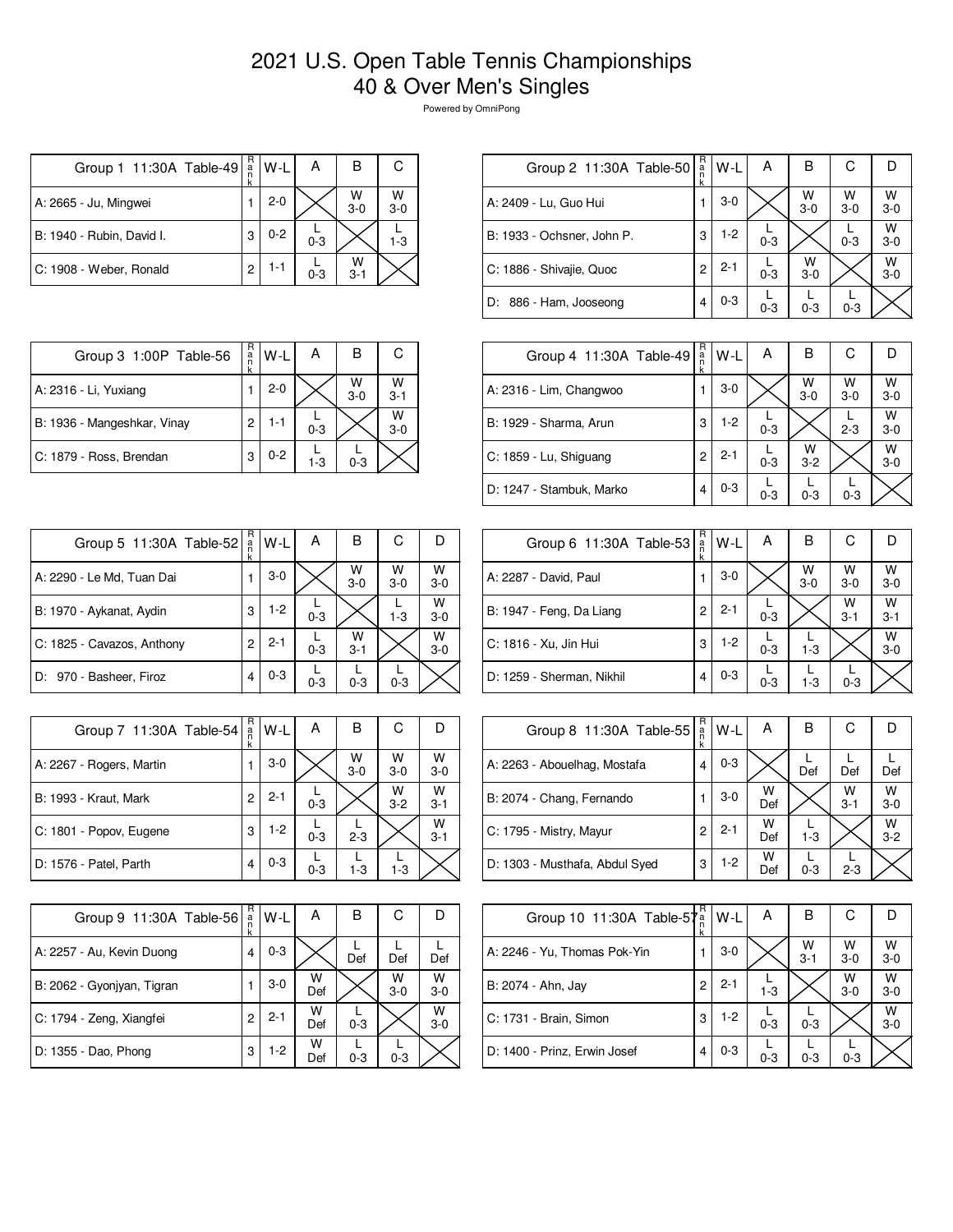## 2021 U.S. Open Table Tennis Championships 40 & Over Men's Singles

Powered by OmniPong

| Group 1 11:30A Table-49   | R<br>a<br>n | W-L     | A       | в            | С                  |
|---------------------------|-------------|---------|---------|--------------|--------------------|
| A: 2665 - Ju, Mingwei     |             | $2 - 0$ |         | W<br>$3-0$   | $W$ <sub>3-0</sub> |
| B: 1940 - Rubin, David I. | 3           | $0 - 2$ | $0 - 3$ |              | $1 - 3$            |
| C: 1908 - Weber, Ronald   | 2           | 1-1     | $0 - 3$ | w<br>$3 - 1$ |                    |

| Group 2 11:30A Table-50    | R<br>a<br>n<br>k | W-L     | А       | в            | С          |              |
|----------------------------|------------------|---------|---------|--------------|------------|--------------|
| A: 2409 - Lu, Guo Hui      |                  | $3-0$   |         | W<br>$3 - 0$ | W<br>$3-0$ | w<br>$3 - 0$ |
| B: 1933 - Ochsner, John P. | 3                | $1-2$   | $0 - 3$ |              | $0 - 3$    | W<br>$3 - 0$ |
| C: 1886 - Shivajie, Quoc   | 2                | $2 - 1$ | $0 - 3$ | W<br>$3-0$   |            | W<br>$3 - 0$ |
| D: 886 - Ham, Jooseong     | 4                | $0 - 3$ | $0 - 3$ | $0 - 3$      | $0 - 3$    |              |

| Group 3 1:00P Table-56      | R<br>a | W-I     | А       | в          | С            |
|-----------------------------|--------|---------|---------|------------|--------------|
| A: 2316 - Li, Yuxiang       |        | $2 - 0$ |         | W<br>$3-0$ | W<br>$3 - 1$ |
| B: 1936 - Mangeshkar, Vinay | 2      | 1-1     | $0 - 3$ |            | W<br>$3-0$   |
| C: 1879 - Ross, Brendan     | 3      | $0 - 2$ | 1-3     | $0 - 3$    |              |

| Group 4 11:30A Table-49  | R<br>a<br>n<br>k | W-L     | A       | в            | С          |              |
|--------------------------|------------------|---------|---------|--------------|------------|--------------|
| A: 2316 - Lim, Changwoo  |                  | $3-0$   |         | W<br>$3-0$   | w<br>$3-0$ | w<br>$3-0$   |
| B: 1929 - Sharma, Arun   | 3                | $1-2$   | $0 - 3$ |              | $2 - 3$    | w<br>$3 - 0$ |
| C: 1859 - Lu, Shiguang   | 2                | $2 - 1$ | $0 - 3$ | W<br>$3 - 2$ |            | w<br>$3 - 0$ |
| D: 1247 - Stambuk, Marko | 4                | $0 - 3$ | $0 - 3$ | $0 - 3$      | $0 - 3$    |              |

| Group 5 11:30A Table-52    | R<br>a<br>n<br>k | W-L     | A       | в            | С          | D          |
|----------------------------|------------------|---------|---------|--------------|------------|------------|
| A: 2290 - Le Md, Tuan Dai  |                  | $3-0$   |         | W<br>$3-0$   | W<br>$3-0$ | W<br>$3-0$ |
| B: 1970 - Aykanat, Aydin   | 3                | $1-2$   | $0 - 3$ |              | $1 - 3$    | W<br>$3-0$ |
| C: 1825 - Cavazos, Anthony | $\overline{c}$   | $2 - 1$ | $0 - 3$ | W<br>$3 - 1$ |            | W<br>$3-0$ |
| D: 970 - Basheer, Firoz    | 4                | $0 - 3$ | $0 - 3$ | $0 - 3$      | $0 - 3$    |            |

| Group 7 11:30A Table-54      | R<br>$\frac{a}{n}$<br>k | W-L     | Α       | в          | С            |              |
|------------------------------|-------------------------|---------|---------|------------|--------------|--------------|
| A: 2267 - Rogers, Martin     |                         | $3-0$   |         | W<br>$3-0$ | W<br>$3-0$   | W<br>$3 - 0$ |
| <b>B: 1993 - Kraut, Mark</b> | 2                       | $2 - 1$ | $0 - 3$ |            | W<br>$3 - 2$ | W<br>$3-1$   |
| C: 1801 - Popov, Eugene      | 3                       | $1 - 2$ | $0 - 3$ | $2 - 3$    |              | W<br>$3 - 1$ |
| D: 1576 - Patel, Parth       | 4                       | $0 - 3$ | $0 - 3$ | $1 - 3$    | $1 - 3$      |              |

| Group 9 11:30A Table-56    | R<br>a<br>k | $W-L$   | А        | в       | С          |            |
|----------------------------|-------------|---------|----------|---------|------------|------------|
| A: 2257 - Au, Kevin Duong  | 4           | $0 - 3$ |          | Def     | Def        | Def        |
| B: 2062 - Gyonjyan, Tigran |             | $3-0$   | W<br>Def |         | W<br>$3-0$ | W<br>$3-0$ |
| C: 1794 - Zeng, Xiangfei   | 2           | $2 - 1$ | w<br>Def | $0 - 3$ |            | W<br>$3-0$ |
| D: 1355 - Dao, Phong       | 3           | $1-2$   | W<br>Def | $0 - 3$ | $0 - 3$    |            |

| Group 6 11:30A Table-53   | R<br>$\frac{a}{n}$ | W-L     | А       | в                  | С            | IJ                 |
|---------------------------|--------------------|---------|---------|--------------------|--------------|--------------------|
| A: 2287 - David, Paul     |                    | $3-0$   |         | $W$ <sub>3-0</sub> | W<br>$3-0$   | $W$ <sub>3-0</sub> |
| B: 1947 - Feng, Da Liang  | 2                  | $2 - 1$ | $0 - 3$ |                    | W<br>$3 - 1$ | W<br>$3 - 1$       |
| C: 1816 - Xu, Jin Hui     | 3                  | $1-2$   | $0 - 3$ | $1 - 3$            |              | W<br>$3-0$         |
| D: 1259 - Sherman, Nikhil | 4                  | $0 - 3$ | $0 - 3$ | $1 - 3$            | $0 - 3$      |                    |

| Group 8 11:30A Table-55        | R<br>$\frac{a}{n}$<br>k | $W-L$   | А        | В       | С            |              |
|--------------------------------|-------------------------|---------|----------|---------|--------------|--------------|
| A: 2263 - Abouelhag, Mostafa   | 4                       | $0 - 3$ |          | Def     | Def          | Def          |
| B: 2074 - Chang, Fernando      |                         | $3-0$   | W<br>Def |         | W<br>$3 - 1$ | W<br>$3-0$   |
| C: 1795 - Mistry, Mayur        | 2                       | $2 - 1$ | W<br>Def | $1 - 3$ |              | W<br>$3 - 2$ |
| D: 1303 - Musthafa, Abdul Syed | 3                       | $1-2$   | W<br>Def | $0 - 3$ | $2 - 3$      |              |

| Group 10 11:30A Table-57     | R<br>$\frac{a}{n}$<br>k | W-L     | Α       | в            | С          |              |
|------------------------------|-------------------------|---------|---------|--------------|------------|--------------|
| A: 2246 - Yu, Thomas Pok-Yin |                         | $3-0$   |         | W<br>$3 - 1$ | W<br>$3-0$ | W<br>$3 - 0$ |
| B: 2074 - Ahn, Jay           | 2                       | $2 - 1$ | $1 - 3$ |              | w<br>$3-0$ | w<br>$3-0$   |
| C: 1731 - Brain, Simon       | 3                       | $1-2$   | $0 - 3$ | $0 - 3$      |            | W<br>$3 - 0$ |
| D: 1400 - Prinz, Erwin Josef | 4                       | $0 - 3$ | $0 - 3$ | $0 - 3$      | $0 - 3$    |              |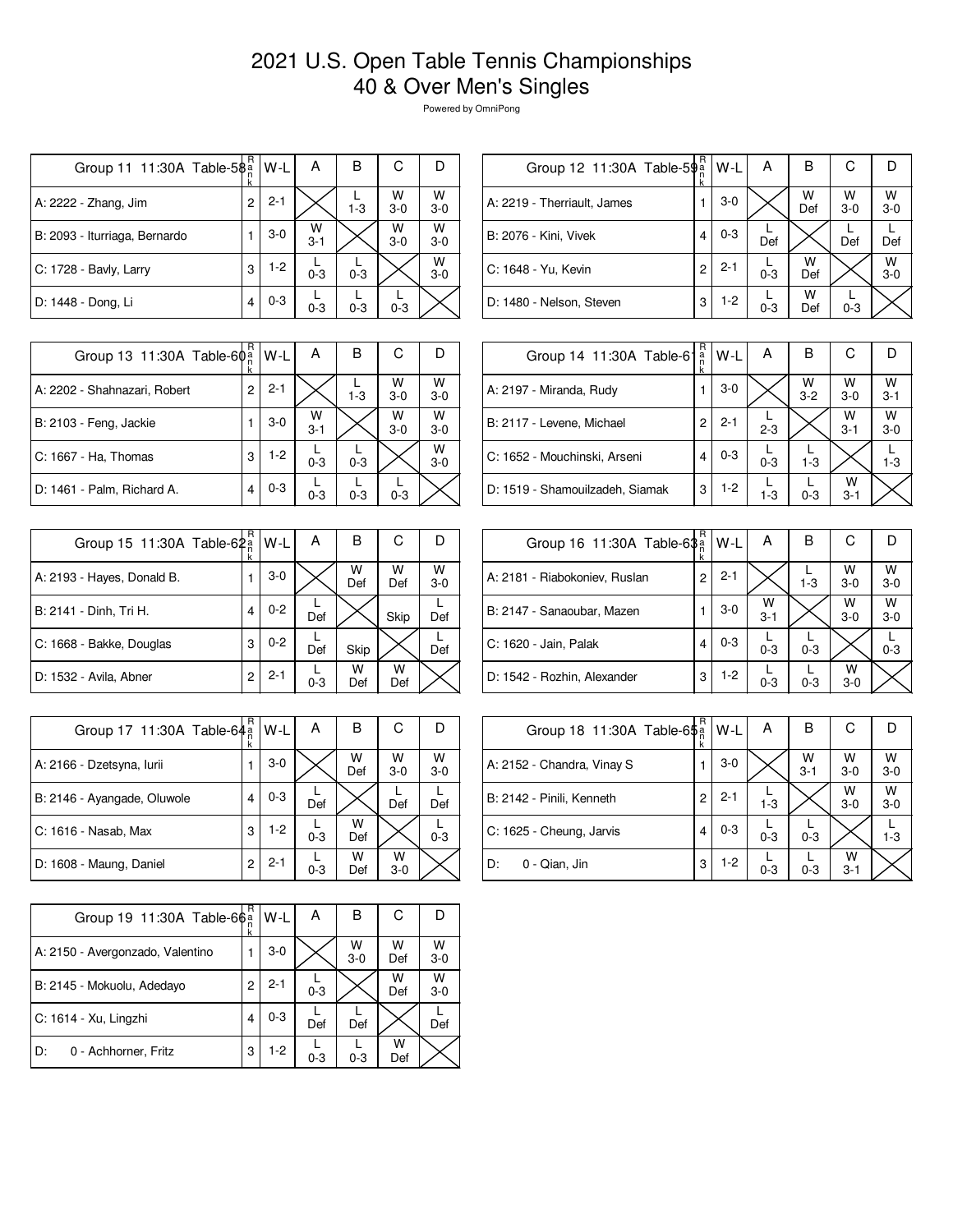## 2021 U.S. Open Table Tennis Championships 40 & Over Men's Singles

Powered by OmniPong

| Group 11 11:30A Table-5\$     | R<br>k | W-L     | А            | в       | С          |            |
|-------------------------------|--------|---------|--------------|---------|------------|------------|
| A: 2222 - Zhang, Jim          | 2      | $2 - 1$ |              | $1 - 3$ | W<br>$3-0$ | W<br>$3-0$ |
| B: 2093 - Iturriaga, Bernardo |        | $3-0$   | w<br>$3 - 1$ |         | W<br>$3-0$ | w<br>$3-0$ |
| C: 1728 - Bavly, Larry        | 3      | $1-2$   | $0 - 3$      | $0 - 3$ |            | w<br>$3-0$ |
| D: 1448 - Dong, Li            | 4      | $0 - 3$ | $0 - 3$      | $0 - 3$ | $0 - 3$    |            |

| R | W-L                                   | Α       | в        | С          |              |
|---|---------------------------------------|---------|----------|------------|--------------|
|   | $3-0$                                 |         | W<br>Def | W<br>$3-0$ | W<br>$3-0$   |
| 4 | $0 - 3$                               | Def     |          | Def        | Def          |
| 2 | $2 - 1$                               | $0 - 3$ | w<br>Def |            | W<br>$3 - 0$ |
| 3 | $1-2$                                 | $0 - 3$ | w<br>Def | $0 - 3$    |              |
|   | Group 12 11:30A Table-5 $\frac{3}{n}$ |         |          |            |              |

| Group 13 11:30A Table-60 <sup>a</sup> | R | $W-L$   | А            | в       | С          |              |
|---------------------------------------|---|---------|--------------|---------|------------|--------------|
| A: 2202 - Shahnazari, Robert          | 2 | $2 - 1$ |              | $1 - 3$ | W<br>$3-0$ | W<br>$3 - 0$ |
| B: 2103 - Feng, Jackie                |   | $3-0$   | W<br>$3 - 1$ |         | W<br>$3-0$ | W<br>$3-0$   |
| C: 1667 - Ha. Thomas                  | 3 | 1-2     | $0 - 3$      | $0 - 3$ |            | W<br>$3-0$   |
| D: 1461 - Palm, Richard A.            | 4 | $0 - 3$ | $0 - 3$      | $0 - 3$ | $0 - 3$    |              |

| Group 15 11:30A Table-62 <sup>a</sup> | R<br>k | W-L     | Α       | в        | С        |              |
|---------------------------------------|--------|---------|---------|----------|----------|--------------|
| A: 2193 - Hayes, Donald B.            |        | $3-0$   |         | W<br>Def | W<br>Def | W<br>$3 - 0$ |
| B: 2141 - Dinh, Tri H.                | 4      | $0 - 2$ | Def     |          | Skip     | Def          |
| C: 1668 - Bakke, Douglas              | 3      | $0 - 2$ | Def     | Skip     |          | Def          |
| D: 1532 - Avila, Abner                | 2      | $2 - 1$ | $0 - 3$ | w<br>Def | w<br>Def |              |

| Group 17 11:30A Table-64 <sup>a</sup> | R | W-L     | А       | В        | С            |            |
|---------------------------------------|---|---------|---------|----------|--------------|------------|
| A: 2166 - Dzetsyna, Iurii             |   | $3-0$   |         | W<br>Def | w<br>$3 - 0$ | W<br>$3-0$ |
| B: 2146 - Ayangade, Oluwole           | 4 | $0 - 3$ | Def     |          | Def          | Def        |
| C: 1616 - Nasab, Max                  | 3 | $1-2$   | $0 - 3$ | w<br>Def |              | $0 - 3$    |
| D: 1608 - Maung, Daniel               | 2 | $2 - 1$ | $0 - 3$ | w<br>Def | w<br>$3-0$   |            |

| Group 19 11:30A Table-66a        | R              | W-L     | А       | в          | С        |            |
|----------------------------------|----------------|---------|---------|------------|----------|------------|
| A: 2150 - Avergonzado, Valentino |                | $3-0$   |         | W<br>$3-0$ | W<br>Def | W<br>$3-0$ |
| B: 2145 - Mokuolu, Adedayo       | $\overline{c}$ | $2 - 1$ | $0 - 3$ |            | w<br>Def | w<br>$3-0$ |
| C: 1614 - Xu, Lingzhi            | 4              | $0 - 3$ | Def     | Def        |          | Def        |
| D:<br>0 - Achhorner, Fritz       | 3              | 1-2     | $0 - 3$ | $0 - 3$    | W<br>Def |            |

| Group 14 11:30A Table-61        | R<br>$\frac{a}{n}$<br>k | $W-L$   | А       | В            | С            |              |
|---------------------------------|-------------------------|---------|---------|--------------|--------------|--------------|
| A: 2197 - Miranda, Rudy         |                         | $3-0$   |         | W<br>$3 - 2$ | w<br>$3-0$   | W<br>$3 - 1$ |
| B: 2117 - Levene, Michael       | 2                       | $2 - 1$ | $2 - 3$ |              | W<br>$3 - 1$ | W<br>$3 - 0$ |
| C: 1652 - Mouchinski, Arseni    | 4                       | $0 - 3$ | $0 - 3$ | $1-3$        |              | $1 - 3$      |
| D: 1519 - Shamouilzadeh, Siamak | 3                       | $1-2$   | $1 - 3$ | $0 - 3$      | w<br>$3 - 1$ |              |

| Group 16 11:30A Table-63 <sup>a</sup> | R<br>ĸ | W-L     | А            | в       | С            |              |
|---------------------------------------|--------|---------|--------------|---------|--------------|--------------|
| A: 2181 - Riabokoniev, Ruslan         | 2      | $2 - 1$ |              | $1 - 3$ | W<br>$3-0$   | W<br>$3 - 0$ |
| B: 2147 - Sanaoubar, Mazen            |        | 3-0     | w<br>$3 - 1$ |         | W<br>$3 - 0$ | W<br>$3-0$   |
| C: 1620 - Jain, Palak                 | 4      | $0 - 3$ | $0 - 3$      | $0 - 3$ |              | $0 - 3$      |
| D: 1542 - Rozhin, Alexander           | 3      | $1-2$   | $0 - 3$      | $0 - 3$ | w<br>$3 - 0$ |              |

| Group 18 11:30A Table-6\$ <sup>a</sup> | R | $W-L$   | Α       | В               | С            |              |
|----------------------------------------|---|---------|---------|-----------------|--------------|--------------|
| A: 2152 - Chandra, Vinay S             |   | $3-0$   |         | $\frac{W}{3-1}$ | w<br>$3 - 0$ | W<br>$3-0$   |
| B: 2142 - Pinili, Kenneth              | 2 | $2 - 1$ | $1 - 3$ |                 | W<br>$3-0$   | W<br>$3 - 0$ |
| C: 1625 - Cheung, Jarvis               | 4 | $0 - 3$ | $0 - 3$ | $0 - 3$         |              | $1 - 3$      |
| D:<br>0 - Qian, Jin                    | 3 | $1-2$   | $0 - 3$ | $0 - 3$         | W<br>$3 - 1$ |              |